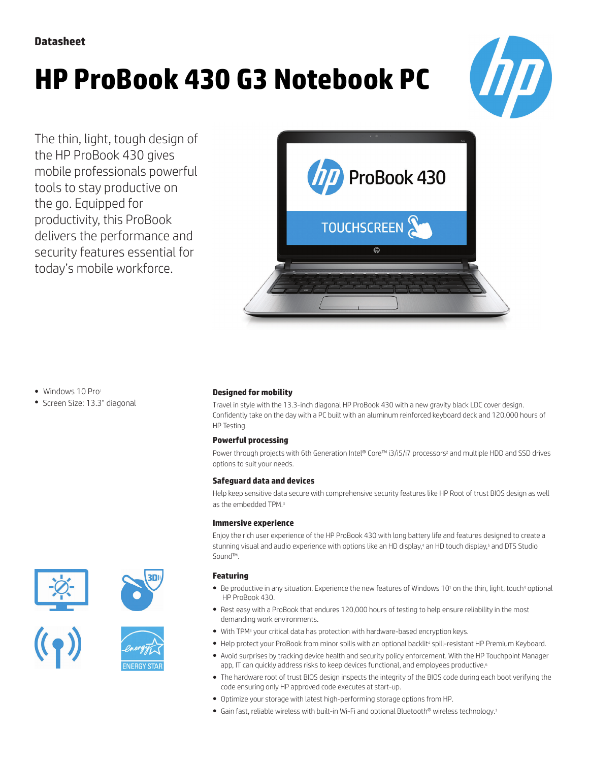**Datasheet**

# **HP ProBook 430 G3 Notebook PC**

The thin, light, tough design of the HP ProBook 430 gives mobile professionals powerful tools to stay productive on the go. Equipped for productivity, this ProBook delivers the performance and security features essential for today's mobile workforce.



- Windows 10 Pro1
- Screen Size: 13.3" diagonal

#### **Designed for mobility**

Travel in style with the 13.3-inch diagonal HP ProBook 430 with a new gravity black LDC cover design. Confidently take on the day with a PC built with an aluminum reinforced keyboard deck and 120,000 hours of HP Testing.

#### **Powerful processing**

Power through projects with 6th Generation Intel® Core™ i3/i5/i7 processors<sup>2</sup> and multiple HDD and SSD drives options to suit your needs.

#### **Safeguard data and devices**

Help keep sensitive data secure with comprehensive security features like HP Root of trust BIOS design as well as the embedded TPM.<sup>3</sup>

#### **Immersive experience**

Enjoy the rich user experience of the HP ProBook 430 with long battery life and features designed to create a stunning visual and audio experience with options like an HD display,<sup>4</sup> an HD touch display,<sup>5</sup> and DTS Studio Sound™.

#### **Featuring**

- Be productive in any situation. Experience the new features of Windows 10<sup>1</sup> on the thin, light, touch<sup>4</sup> optional HP ProBook 430.
- Rest easy with a ProBook that endures 120,000 hours of testing to help ensure reliability in the most demanding work environments.
- With TPM<sup>3</sup> your critical data has protection with hardware-based encryption keys.
- Help protect your ProBook from minor spills with an optional backlit<sup>4</sup> spill-resistant HP Premium Keyboard.
- Avoid surprises by tracking device health and security policy enforcement. With the HP Touchpoint Manager app, IT can quickly address risks to keep devices functional, and employees productive.<sup>6</sup>
- The hardware root of trust BIOS design inspects the integrity of the BIOS code during each boot verifying the code ensuring only HP approved code executes at start-up.
- Optimize your storage with latest high-performing storage options from HP.
- Gain fast, reliable wireless with built-in Wi-Fi and optional Bluetooth® wireless technology.<sup>7</sup>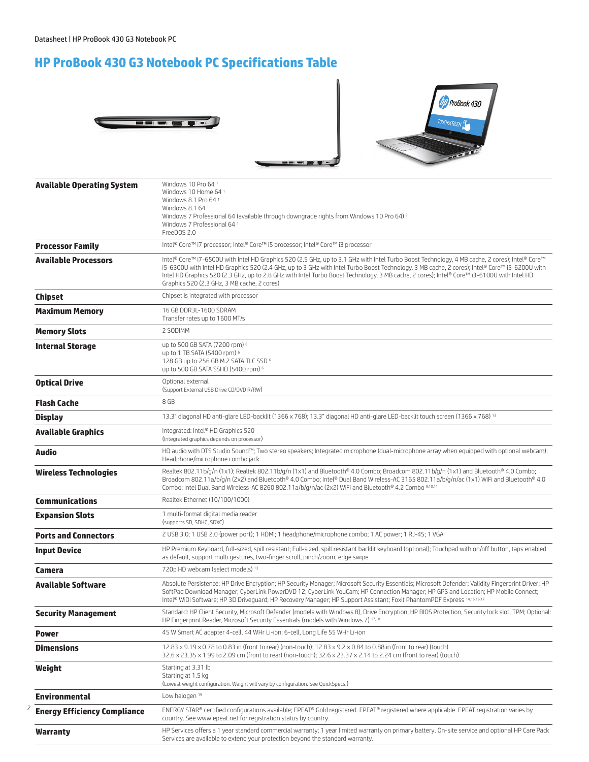2

## **HP ProBook 430 G3 Notebook PC Specifications Table**





| <b>Available Operating System</b>   | Windows 10 Pro 64 <sup>1</sup><br>Windows 10 Home 64 1<br>Windows 8.1 Pro 64 <sup>1</sup><br>Windows 8.1 64 1<br>Windows 7 Professional 64 (available through downgrade rights from Windows 10 Pro 64) <sup>2</sup><br>Windows 7 Professional 64 <sup>1</sup><br>FreeDOS 2.0                                                                                                                                                                                                                 |
|-------------------------------------|----------------------------------------------------------------------------------------------------------------------------------------------------------------------------------------------------------------------------------------------------------------------------------------------------------------------------------------------------------------------------------------------------------------------------------------------------------------------------------------------|
| <b>Processor Family</b>             | Intel® Core™ i7 processor; Intel® Core™ i5 processor; Intel® Core™ i3 processor                                                                                                                                                                                                                                                                                                                                                                                                              |
| Available Processors                | Intel® Core™ i7-6500U with Intel HD Graphics 520 (2.5 GHz, up to 3.1 GHz with Intel Turbo Boost Technology, 4 MB cache, 2 cores); Intel® Core™<br>i5-6300U with Intel HD Graphics 520 (2.4 GHz, up to 3 GHz with Intel Turbo Boost Technology, 3 MB cache, 2 cores); Intel® Core™ i5-6200U with<br>Intel HD Graphics 520 (2.3 GHz, up to 2.8 GHz with Intel Turbo Boost Technology, 3 MB cache, 2 cores); Intel® Core™ i3-6100U with Intel HD<br>Graphics 520 (2.3 GHz, 3 MB cache, 2 cores) |
| <b>Chipset</b>                      | Chipset is integrated with processor                                                                                                                                                                                                                                                                                                                                                                                                                                                         |
| <b>Maximum Memory</b>               | 16 GB DDR3L-1600 SDRAM<br>Transfer rates up to 1600 MT/s                                                                                                                                                                                                                                                                                                                                                                                                                                     |
| <b>Memory Slots</b>                 | 2 SODIMM                                                                                                                                                                                                                                                                                                                                                                                                                                                                                     |
| <b>Internal Storage</b>             | up to 500 GB SATA (7200 rpm) 6<br>up to 1 TB SATA (5400 rpm) 6<br>128 GB up to 256 GB M.2 SATA TLC SSD 6<br>up to 500 GB SATA SSHD (5400 rpm) 6                                                                                                                                                                                                                                                                                                                                              |
| <b>Optical Drive</b>                | Optional external<br>(Support External USB Drive CD/DVD R/RW)                                                                                                                                                                                                                                                                                                                                                                                                                                |
| <b>Flash Cache</b>                  | 8 GB                                                                                                                                                                                                                                                                                                                                                                                                                                                                                         |
| <b>Display</b>                      | 13.3" diagonal HD anti-glare LED-backlit (1366 x 768); 13.3" diagonal HD anti-glare LED-backlit touch screen (1366 x 768) 13                                                                                                                                                                                                                                                                                                                                                                 |
| <b>Available Graphics</b>           | Integrated: Intel® HD Graphics 520<br>(Integrated graphics depends on processor)                                                                                                                                                                                                                                                                                                                                                                                                             |
| Audio                               | HD audio with DTS Studio Sound™; Two stereo speakers; Integrated microphone (dual-microphone array when equipped with optional webcam);<br>Headphone/microphone combo jack                                                                                                                                                                                                                                                                                                                   |
| <b>Wireless Technologies</b>        | Realtek 802.11b/g/n (1x1); Realtek 802.11b/g/n (1x1) and Bluetooth® 4.0 Combo; Broadcom 802.11b/g/n (1x1) and Bluetooth® 4.0 Combo;<br>Broadcom 802.11a/b/q/n (2x2) and Bluetooth® 4.0 Combo; Intel® Dual Band Wireless-AC 3165 802.11a/b/q/n/ac (1x1) WiFi and Bluetooth® 4.0<br>Combo; Intel Dual Band Wireless-AC 8260 802.11a/b/g/n/ac (2x2) WiFi and Bluetooth® 4.2 Combo 9,10,11                                                                                                       |
| <b>Communications</b>               | Realtek Ethernet (10/100/1000)                                                                                                                                                                                                                                                                                                                                                                                                                                                               |
| <b>Expansion Slots</b>              | 1 multi-format digital media reader<br>(supports SD, SDHC, SDXC)                                                                                                                                                                                                                                                                                                                                                                                                                             |
| <b>Ports and Connectors</b>         | 2 USB 3.0; 1 USB 2.0 (power port); 1 HDMI; 1 headphone/microphone combo; 1 AC power; 1 RJ-45; 1 VGA                                                                                                                                                                                                                                                                                                                                                                                          |
| <b>Input Device</b>                 | HP Premium Keyboard, full-sized, spill resistant; Full-sized, spill resistant backlit keyboard (optional); Touchpad with on/off button, taps enabled<br>as default, support multi gestures, two-finger scroll, pinch/zoom, edge swipe                                                                                                                                                                                                                                                        |
| Camera                              | 720p HD webcam (select models) 13                                                                                                                                                                                                                                                                                                                                                                                                                                                            |
| <b>Available Software</b>           | Absolute Persistence; HP Drive Encryption; HP Security Manager; Microsoft Security Essentials; Microsoft Defender; Validity Fingerprint Driver; HP<br>SoftPag Download Manager: CyberLink PowerDVD 12: CyberLink YouCam: HP Connection Manager: HP GPS and Location: HP Mobile Connect:<br>Intel® WiDi Software; HP 3D Driveguard; HP Recovery Manager; HP Support Assistant; Foxit PhantomPDF Express <sup>14,15,16,17</sup>                                                                |
| <b>Security Management</b>          | Standard: HP Client Security, Microsoft Defender (models with Windows 8), Drive Encryption, HP BIOS Protection, Security lock slot, TPM; Optional:<br>HP Fingerprint Reader, Microsoft Security Essentials (models with Windows 7) 17,18                                                                                                                                                                                                                                                     |
| Power                               | 45 W Smart AC adapter 4-cell, 44 WHr Li-ion; 6-cell, Long Life 55 WHr Li-ion                                                                                                                                                                                                                                                                                                                                                                                                                 |
| <b>Dimensions</b>                   | 12.83 x 9.19 x 0.78 to 0.83 in (front to rear) (non-touch); 12.83 x 9.2 x 0.84 to 0.88 in (front to rear) (touch)<br>32.6 x 23.35 x 1.99 to 2.09 cm (front to rear) (non-touch); 32.6 x 23.37 x 2.14 to 2.24 cm (front to rear) (touch)                                                                                                                                                                                                                                                      |
| Weight                              | Starting at 3.31 lb<br>Starting at 1.5 kg<br>(Lowest weight configuration. Weight will vary by configuration. See QuickSpecs.)                                                                                                                                                                                                                                                                                                                                                               |
| <b>Environmental</b>                | Low halogen <sup>19</sup>                                                                                                                                                                                                                                                                                                                                                                                                                                                                    |
| <b>Energy Efficiency Compliance</b> | ENERGY STAR® certified configurations available; EPEAT® Gold registered. EPEAT® registered where applicable. EPEAT registration varies by<br>country. See www.epeat.net for registration status by country.                                                                                                                                                                                                                                                                                  |
| Warranty                            | HP Services offers a 1 year standard commercial warranty; 1 year limited warranty on primary battery. On-site service and optional HP Care Pack<br>Services are available to extend your protection beyond the standard warranty.                                                                                                                                                                                                                                                            |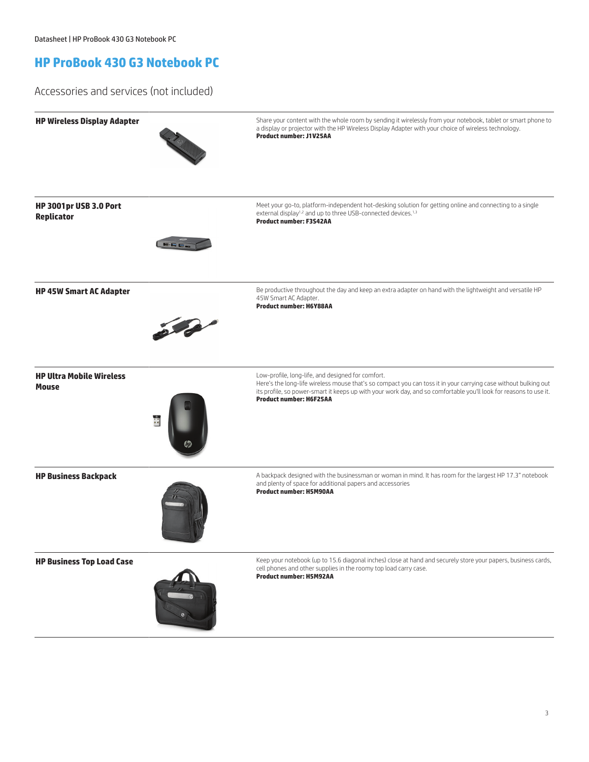### **HP ProBook 430 G3 Notebook PC**

Accessories and services (not included)